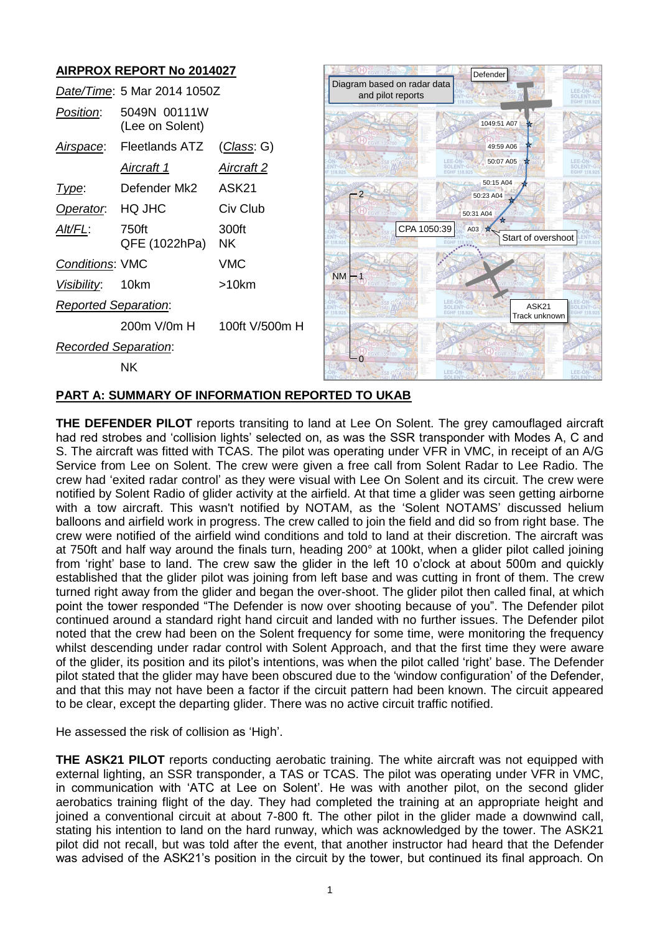# **AIRPROX REPORT No 2014027**

|                             | Date/Time: 5 Mar 2014 1050Z     |                   |
|-----------------------------|---------------------------------|-------------------|
| Position:                   | 5049N 00111W<br>(Lee on Solent) |                   |
| Airspace:                   | Fleetlands ATZ                  | (Class: G)        |
|                             | <u>Aircraft 1</u>               | <u>Aircraft 2</u> |
| l ype:                      | Defender Mk2                    | ASK <sub>21</sub> |
| Operator.                   | HQ JHC                          | Civ Club          |
| Alt/FL:                     | 750ft<br>QFE (1022hPa)          | 300ft<br>NK.      |
| <b>Conditions: VMC</b>      |                                 | VMC               |
| Visibility: 10km            |                                 | >10km             |
| <b>Reported Separation:</b> |                                 |                   |
|                             | 200m V/0m H                     | 100ft V/500m H    |
| Recorded Separation:        |                                 |                   |
|                             | NΚ                              |                   |



### **PART A: SUMMARY OF INFORMATION REPORTED TO UKAB**

**THE DEFENDER PILOT** reports transiting to land at Lee On Solent. The grey camouflaged aircraft had red strobes and 'collision lights' selected on, as was the SSR transponder with Modes A, C and S. The aircraft was fitted with TCAS. The pilot was operating under VFR in VMC, in receipt of an A/G Service from Lee on Solent. The crew were given a free call from Solent Radar to Lee Radio. The crew had 'exited radar control' as they were visual with Lee On Solent and its circuit. The crew were notified by Solent Radio of glider activity at the airfield. At that time a glider was seen getting airborne with a tow aircraft. This wasn't notified by NOTAM, as the 'Solent NOTAMS' discussed helium balloons and airfield work in progress. The crew called to join the field and did so from right base. The crew were notified of the airfield wind conditions and told to land at their discretion. The aircraft was at 750ft and half way around the finals turn, heading 200° at 100kt, when a glider pilot called joining from 'right' base to land. The crew saw the glider in the left 10 o'clock at about 500m and quickly established that the glider pilot was joining from left base and was cutting in front of them. The crew turned right away from the glider and began the over-shoot. The glider pilot then called final, at which point the tower responded "The Defender is now over shooting because of you". The Defender pilot continued around a standard right hand circuit and landed with no further issues. The Defender pilot noted that the crew had been on the Solent frequency for some time, were monitoring the frequency whilst descending under radar control with Solent Approach, and that the first time they were aware of the glider, its position and its pilot's intentions, was when the pilot called 'right' base. The Defender pilot stated that the glider may have been obscured due to the 'window configuration' of the Defender, and that this may not have been a factor if the circuit pattern had been known. The circuit appeared to be clear, except the departing glider. There was no active circuit traffic notified. **Device the Microsoft of the Asket Continued in the ASK21's position in the circuit by the circuit by the circuit by the circuit by the circuit by the continued in the Continued in the Continued in the Continued in the Con** 

He assessed the risk of collision as 'High'.

**THE ASK21 PILOT** reports conducting aerobatic training. The white aircraft was not equipped with external lighting, an SSR transponder, a TAS or TCAS. The pilot was operating under VFR in VMC, in communication with 'ATC at Lee on Solent'. He was with another pilot, on the second glider aerobatics training flight of the day. They had completed the training at an appropriate height and joined a conventional circuit at about 7-800 ft. The other pilot in the glider made a downwind call, stating his intention to land on the hard runway, which was acknowledged by the tower. The ASK21 pilot did not recall, but was told after the event, that another instructor had heard that the Defender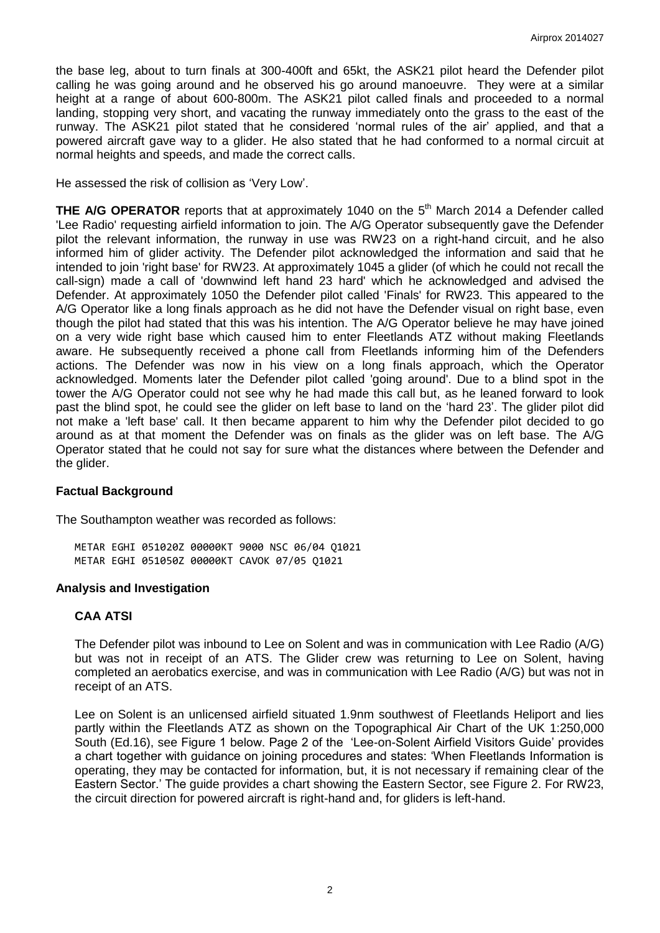the base leg, about to turn finals at 300-400ft and 65kt, the ASK21 pilot heard the Defender pilot calling he was going around and he observed his go around manoeuvre. They were at a similar height at a range of about 600-800m. The ASK21 pilot called finals and proceeded to a normal landing, stopping very short, and vacating the runway immediately onto the grass to the east of the runway. The ASK21 pilot stated that he considered 'normal rules of the air' applied, and that a powered aircraft gave way to a glider. He also stated that he had conformed to a normal circuit at normal heights and speeds, and made the correct calls.

He assessed the risk of collision as 'Very Low'.

**THE A/G OPERATOR** reports that at approximately 1040 on the 5<sup>th</sup> March 2014 a Defender called 'Lee Radio' requesting airfield information to join. The A/G Operator subsequently gave the Defender pilot the relevant information, the runway in use was RW23 on a right-hand circuit, and he also informed him of glider activity. The Defender pilot acknowledged the information and said that he intended to join 'right base' for RW23. At approximately 1045 a glider (of which he could not recall the call-sign) made a call of 'downwind left hand 23 hard' which he acknowledged and advised the Defender. At approximately 1050 the Defender pilot called 'Finals' for RW23. This appeared to the A/G Operator like a long finals approach as he did not have the Defender visual on right base, even though the pilot had stated that this was his intention. The A/G Operator believe he may have joined on a very wide right base which caused him to enter Fleetlands ATZ without making Fleetlands aware. He subsequently received a phone call from Fleetlands informing him of the Defenders actions. The Defender was now in his view on a long finals approach, which the Operator acknowledged. Moments later the Defender pilot called 'going around'. Due to a blind spot in the tower the A/G Operator could not see why he had made this call but, as he leaned forward to look past the blind spot, he could see the glider on left base to land on the 'hard 23'. The glider pilot did not make a 'left base' call. It then became apparent to him why the Defender pilot decided to go around as at that moment the Defender was on finals as the glider was on left base. The A/G Operator stated that he could not say for sure what the distances where between the Defender and the glider.

#### **Factual Background**

The Southampton weather was recorded as follows:

METAR EGHI 051020Z 00000KT 9000 NSC 06/04 Q1021 METAR EGHI 051050Z 00000KT CAVOK 07/05 Q1021

#### **Analysis and Investigation**

#### **CAA ATSI**

The Defender pilot was inbound to Lee on Solent and was in communication with Lee Radio (A/G) but was not in receipt of an ATS. The Glider crew was returning to Lee on Solent, having completed an aerobatics exercise, and was in communication with Lee Radio (A/G) but was not in receipt of an ATS.

Lee on Solent is an unlicensed airfield situated 1.9nm southwest of Fleetlands Heliport and lies partly within the Fleetlands ATZ as shown on the Topographical Air Chart of the UK 1:250,000 South (Ed.16), see Figure 1 below. Page 2 of the 'Lee-on-Solent Airfield Visitors Guide' provides a chart together with guidance on joining procedures and states: 'When Fleetlands Information is operating, they may be contacted for information, but, it is not necessary if remaining clear of the Eastern Sector.' The guide provides a chart showing the Eastern Sector, see Figure 2. For RW23, the circuit direction for powered aircraft is right-hand and, for gliders is left-hand.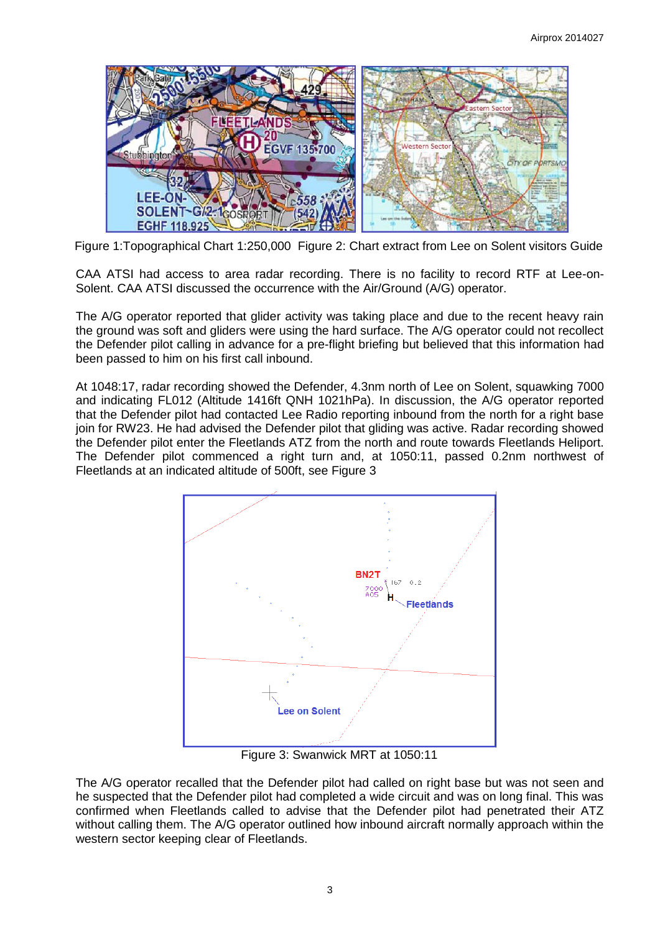

Figure 1:Topographical Chart 1:250,000 Figure 2: Chart extract from Lee on Solent visitors Guide

CAA ATSI had access to area radar recording. There is no facility to record RTF at Lee-on-Solent. CAA ATSI discussed the occurrence with the Air/Ground (A/G) operator.

The A/G operator reported that glider activity was taking place and due to the recent heavy rain the ground was soft and gliders were using the hard surface. The A/G operator could not recollect the Defender pilot calling in advance for a pre-flight briefing but believed that this information had been passed to him on his first call inbound.

At 1048:17, radar recording showed the Defender, 4.3nm north of Lee on Solent, squawking 7000 and indicating FL012 (Altitude 1416ft QNH 1021hPa). In discussion, the A/G operator reported that the Defender pilot had contacted Lee Radio reporting inbound from the north for a right base join for RW23. He had advised the Defender pilot that gliding was active. Radar recording showed the Defender pilot enter the Fleetlands ATZ from the north and route towards Fleetlands Heliport. The Defender pilot commenced a right turn and, at 1050:11, passed 0.2nm northwest of Fleetlands at an indicated altitude of 500ft, see Figure 3



Figure 3: Swanwick MRT at 1050:11

The A/G operator recalled that the Defender pilot had called on right base but was not seen and he suspected that the Defender pilot had completed a wide circuit and was on long final. This was confirmed when Fleetlands called to advise that the Defender pilot had penetrated their ATZ without calling them. The A/G operator outlined how inbound aircraft normally approach within the western sector keeping clear of Fleetlands.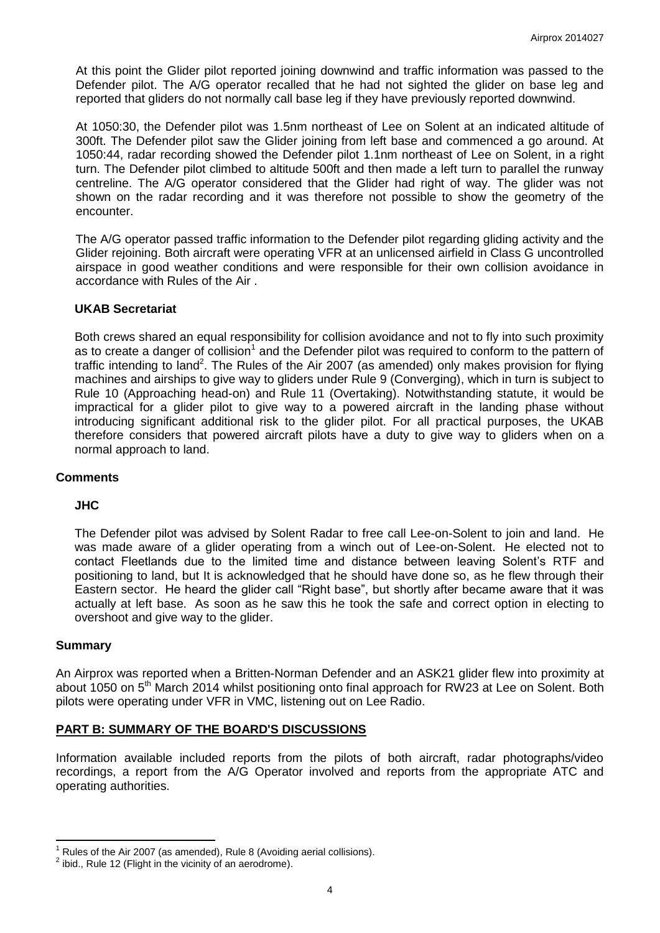At this point the Glider pilot reported joining downwind and traffic information was passed to the Defender pilot. The A/G operator recalled that he had not sighted the glider on base leg and reported that gliders do not normally call base leg if they have previously reported downwind.

At 1050:30, the Defender pilot was 1.5nm northeast of Lee on Solent at an indicated altitude of 300ft. The Defender pilot saw the Glider joining from left base and commenced a go around. At 1050:44, radar recording showed the Defender pilot 1.1nm northeast of Lee on Solent, in a right turn. The Defender pilot climbed to altitude 500ft and then made a left turn to parallel the runway centreline. The A/G operator considered that the Glider had right of way. The glider was not shown on the radar recording and it was therefore not possible to show the geometry of the encounter.

The A/G operator passed traffic information to the Defender pilot regarding gliding activity and the Glider rejoining. Both aircraft were operating VFR at an unlicensed airfield in Class G uncontrolled airspace in good weather conditions and were responsible for their own collision avoidance in accordance with Rules of the Air .

### **UKAB Secretariat**

Both crews shared an equal responsibility for collision avoidance and not to fly into such proximity as to create a danger of collision<sup>1</sup> and the Defender pilot was required to conform to the pattern of traffic intending to land<sup>2</sup>. The Rules of the Air 2007 (as amended) only makes provision for flying machines and airships to give way to gliders under Rule 9 (Converging), which in turn is subject to Rule 10 (Approaching head-on) and Rule 11 (Overtaking). Notwithstanding statute, it would be impractical for a glider pilot to give way to a powered aircraft in the landing phase without introducing significant additional risk to the glider pilot. For all practical purposes, the UKAB therefore considers that powered aircraft pilots have a duty to give way to gliders when on a normal approach to land.

#### **Comments**

# **JHC**

The Defender pilot was advised by Solent Radar to free call Lee-on-Solent to join and land. He was made aware of a glider operating from a winch out of Lee-on-Solent. He elected not to contact Fleetlands due to the limited time and distance between leaving Solent's RTF and positioning to land, but It is acknowledged that he should have done so, as he flew through their Eastern sector. He heard the glider call "Right base", but shortly after became aware that it was actually at left base. As soon as he saw this he took the safe and correct option in electing to overshoot and give way to the glider.

#### **Summary**

An Airprox was reported when a Britten-Norman Defender and an ASK21 glider flew into proximity at about 1050 on 5<sup>th</sup> March 2014 whilst positioning onto final approach for RW23 at Lee on Solent. Both pilots were operating under VFR in VMC, listening out on Lee Radio.

# **PART B: SUMMARY OF THE BOARD'S DISCUSSIONS**

Information available included reports from the pilots of both aircraft, radar photographs/video recordings, a report from the A/G Operator involved and reports from the appropriate ATC and operating authorities.

 $\overline{\phantom{a}}$ Rules of the Air 2007 (as amended), Rule 8 (Avoiding aerial collisions).

 $2$  ibid., Rule 12 (Flight in the vicinity of an aerodrome).